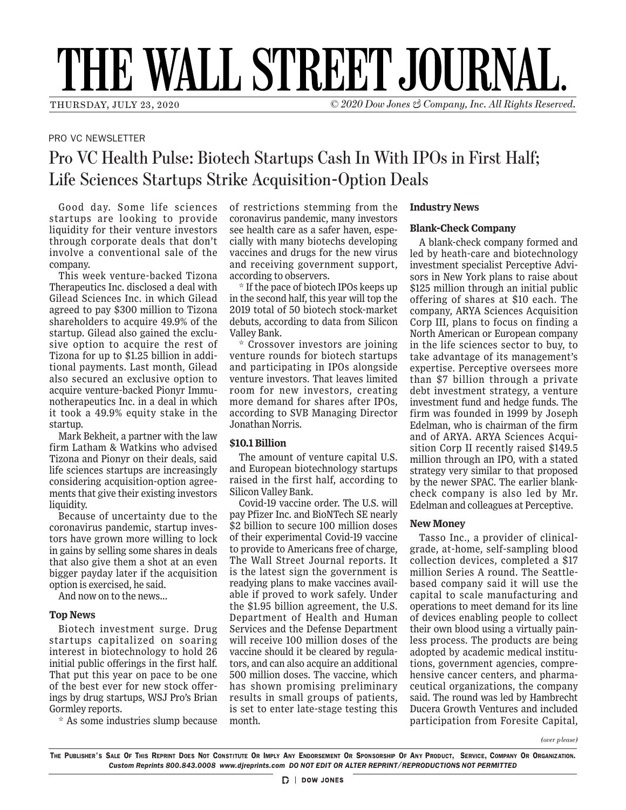# THE WALL STREET JOURNAL.

THURSDAY, JULY 23, 2020 © *2020 Dow Jones & Company, Inc. All Rights Reserved.*

## PRO VC NEWSLETTER

# Pro VC Health Pulse: Biotech Startups Cash In With IPOs in First Half; Life Sciences Startups Strike Acquisition-Option Deals

Good day. Some life sciences startups are looking to provide liquidity for their venture investors through corporate deals that don't involve a conventional sale of the company.

This week venture-backed Tizona Therapeutics Inc. disclosed a deal with Gilead Sciences Inc. in which Gilead agreed to pay \$300 million to Tizona shareholders to acquire 49.9% of the startup. Gilead also gained the exclusive option to acquire the rest of Tizona for up to \$1.25 billion in additional payments. Last month, Gilead also secured an exclusive option to acquire venture-backed Pionyr Immunotherapeutics Inc. in a deal in which it took a 49.9% equity stake in the startup.

Mark Bekheit, a partner with the law firm Latham & Watkins who advised Tizona and Pionyr on their deals, said life sciences startups are increasingly considering acquisition-option agreements that give their existing investors liquidity.

Because of uncertainty due to the coronavirus pandemic, startup investors have grown more willing to lock in gains by selling some shares in deals that also give them a shot at an even bigger payday later if the acquisition option is exercised, he said.

And now on to the news...

#### **Top News**

Biotech investment surge. Drug startups capitalized on soaring interest in biotechnology to hold 26 initial public offerings in the first half. That put this year on pace to be one of the best ever for new stock offerings by drug startups, WSJ Pro's Brian Gormley reports.

\* As some industries slump because

of restrictions stemming from the coronavirus pandemic, many investors see health care as a safer haven, especially with many biotechs developing vaccines and drugs for the new virus and receiving government support, according to observers.

\* If the pace of biotech IPOs keeps up in the second half, this year will top the 2019 total of 50 biotech stock-market debuts, according to data from Silicon Valley Bank.

\* Crossover investors are joining venture rounds for biotech startups and participating in IPOs alongside venture investors. That leaves limited room for new investors, creating more demand for shares after IPOs, according to SVB Managing Director Jonathan Norris.

## **\$10.1 Billion**

The amount of venture capital U.S. and European biotechnology startups raised in the first half, according to Silicon Valley Bank.

Covid-19 vaccine order. The U.S. will pay Pfizer Inc. and BioNTech SE nearly \$2 billion to secure 100 million doses of their experimental Covid-19 vaccine to provide to Americans free of charge, The Wall Street Journal reports. It is the latest sign the government is readying plans to make vaccines available if proved to work safely. Under the \$1.95 billion agreement, the U.S. Department of Health and Human Services and the Defense Department will receive 100 million doses of the vaccine should it be cleared by regulators, and can also acquire an additional 500 million doses. The vaccine, which has shown promising preliminary results in small groups of patients, is set to enter late-stage testing this month.

#### **Industry News**

#### **Blank-Check Company**

A blank-check company formed and led by heath-care and biotechnology investment specialist Perceptive Advisors in New York plans to raise about \$125 million through an initial public offering of shares at \$10 each. The company, ARYA Sciences Acquisition Corp III, plans to focus on finding a North American or European company in the life sciences sector to buy, to take advantage of its management's expertise. Perceptive oversees more than \$7 billion through a private debt investment strategy, a venture investment fund and hedge funds. The firm was founded in 1999 by Joseph Edelman, who is chairman of the firm and of ARYA. ARYA Sciences Acquisition Corp II recently raised \$149.5 million through an IPO, with a stated strategy very similar to that proposed by the newer SPAC. The earlier blankcheck company is also led by Mr. Edelman and colleagues at Perceptive.

## **New Money**

Tasso Inc., a provider of clinicalgrade, at-home, self-sampling blood collection devices, completed a \$17 million Series A round. The Seattlebased company said it will use the capital to scale manufacturing and operations to meet demand for its line of devices enabling people to collect their own blood using a virtually painless process. The products are being adopted by academic medical institutions, government agencies, comprehensive cancer centers, and pharmaceutical organizations, the company said. The round was led by Hambrecht Ducera Growth Ventures and included participation from Foresite Capital,

*(over please)*

The Publisher's Sale Of This Reprint Does Not Constitute Or Imply Any Endorsement Or Sponsorship Of Any Product, Service, Company Or Organization. *Custom Reprints 800.843.0008 www.djreprints.com DO NOT EDIT OR ALTER REPRINT/REPRODUCTIONS NOT PERMITTED*